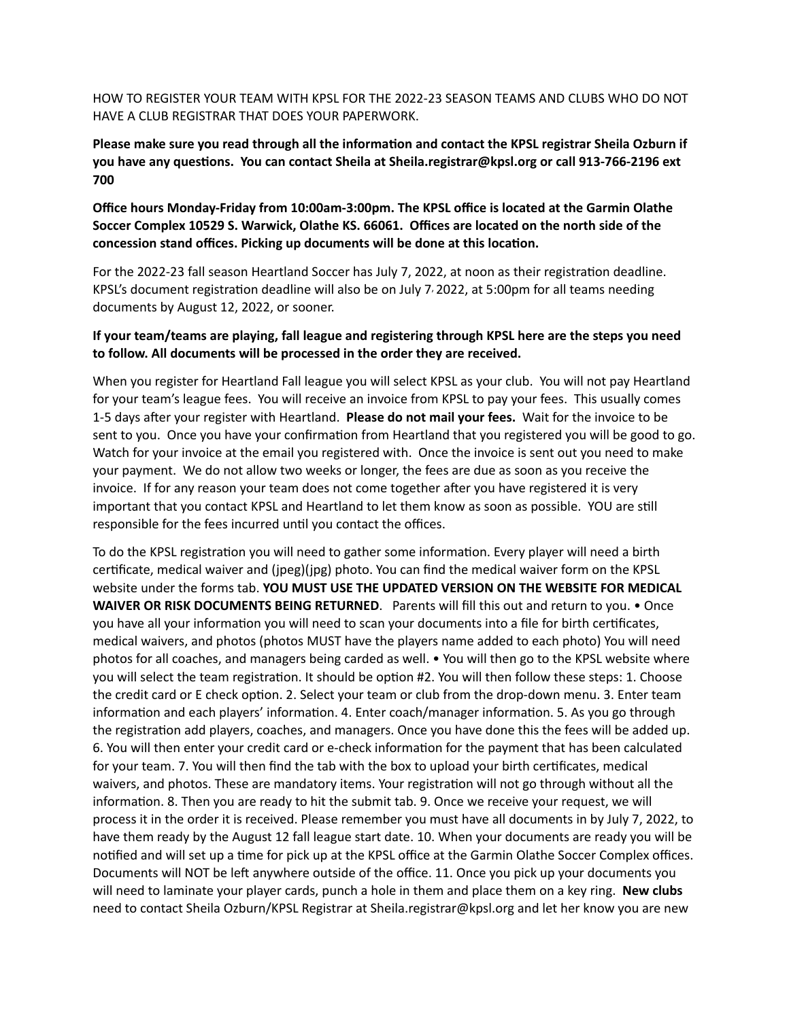HOW TO REGISTER YOUR TEAM WITH KPSL FOR THE 2022-23 SEASON TEAMS AND CLUBS WHO DO NOT HAVE A CLUB REGISTRAR THAT DOES YOUR PAPERWORK.

**Please make sure you read through all the information and contact the KPSL registrar Sheila Ozburn if you have any questions. You can contact Sheila at Sheila.registrar@kpsl.org or call 913-766-2196 ext 700**

**Office hours Monday-Friday from 10:00am-3:00pm. The KPSL office is located at the Garmin Olathe Soccer Complex 10529 S. Warwick, Olathe KS. 66061. Offices are located on the north side of the concession stand offices. Picking up documents will be done at this location.**

For the 2022-23 fall season Heartland Soccer has July 7, 2022, at noon as their registration deadline. KPSL's document registration deadline will also be on July 7, 2022, at 5:00pm for all teams needing documents by August 12, 2022, or sooner.

## **If your team/teams are playing, fall league and registering through KPSL here are the steps you need to follow. All documents will be processed in the order they are received.**

When you register for Heartland Fall league you will select KPSL as your club. You will not pay Heartland for your team's league fees. You will receive an invoice from KPSL to pay your fees. This usually comes 1-5 days after your register with Heartland. **Please do not mail your fees.** Wait for the invoice to be sent to you. Once you have your confirmation from Heartland that you registered you will be good to go. Watch for your invoice at the email you registered with. Once the invoice is sent out you need to make your payment. We do not allow two weeks or longer, the fees are due as soon as you receive the invoice. If for any reason your team does not come together after you have registered it is very important that you contact KPSL and Heartland to let them know as soon as possible. YOU are still responsible for the fees incurred until you contact the offices.

To do the KPSL registration you will need to gather some information. Every player will need a birth certificate, medical waiver and (jpeg)(jpg) photo. You can find the medical waiver form on the KPSL website under the forms tab. **YOU MUST USE THE UPDATED VERSION ON THE WEBSITE FOR MEDICAL WAIVER OR RISK DOCUMENTS BEING RETURNED.** Parents will fill this out and return to you. • Once you have all your information you will need to scan your documents into a file for birth certificates, medical waivers, and photos (photos MUST have the players name added to each photo) You will need photos for all coaches, and managers being carded as well. • You will then go to the KPSL website where you will select the team registration. It should be option #2. You will then follow these steps: 1. Choose the credit card or E check option. 2. Select your team or club from the drop-down menu. 3. Enter team information and each players' information. 4. Enter coach/manager information. 5. As you go through the registration add players, coaches, and managers. Once you have done this the fees will be added up. 6. You will then enter your credit card or e-check information for the payment that has been calculated for your team. 7. You will then find the tab with the box to upload your birth certificates, medical waivers, and photos. These are mandatory items. Your registration will not go through without all the information. 8. Then you are ready to hit the submit tab. 9. Once we receive your request, we will process it in the order it is received. Please remember you must have all documents in by July 7, 2022, to have them ready by the August 12 fall league start date. 10. When your documents are ready you will be notified and will set up a time for pick up at the KPSL office at the Garmin Olathe Soccer Complex offices. Documents will NOT be left anywhere outside of the office. 11. Once you pick up your documents you will need to laminate your player cards, punch a hole in them and place them on a key ring. **New clubs** need to contact Sheila Ozburn/KPSL Registrar at Sheila.registrar@kpsl.org and let her know you are new